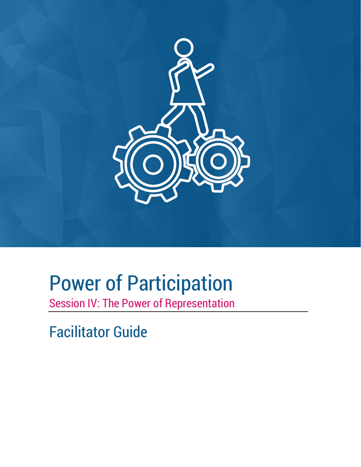

# Power of Participation

Session IV: The Power of Representation

Facilitator Guide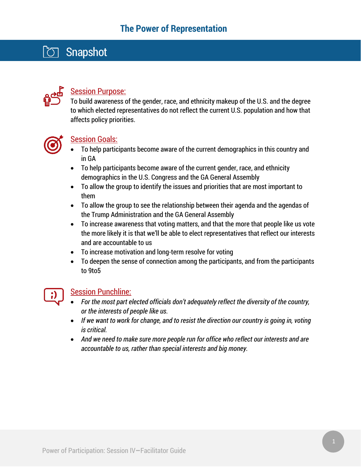## **Snapshot**



#### Session Purpose:

To build awareness of the gender, race, and ethnicity makeup of the U.S. and the degree to which elected representatives do not reflect the current U.S. population and how that affects policy priorities.



#### Session Goals:

- To help participants become aware of the current demographics in this country and in GA
- To help participants become aware of the current gender, race, and ethnicity demographics in the U.S. Congress and the GA General Assembly
- To allow the group to identify the issues and priorities that are most important to them
- To allow the group to see the relationship between their agenda and the agendas of the Trump Administration and the GA General Assembly
- To increase awareness that voting matters, and that the more that people like us vote the more likely it is that we'll be able to elect representatives that reflect our interests and are accountable to us
- To increase motivation and long-term resolve for voting
- To deepen the sense of connection among the participants, and from the participants to 9to5

#### Session Punchline:

- *For the most part elected officials don't adequately reflect the diversity of the country, or the interests of people like us.*
- If we want to work for change, and to resist the direction our country is going in, voting *is critical.*
- *And we need to make sure more people run for office who reflect our interests and are accountable to us, rather than special interests and big money.*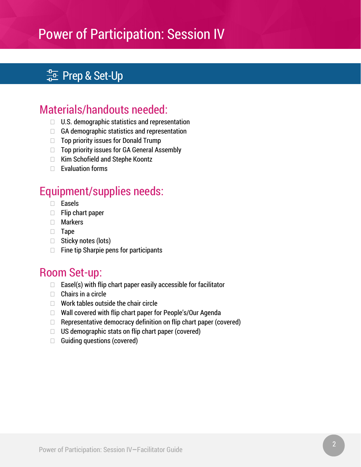## $\frac{1}{4D}$  Prep & Set-Up

## Materials/handouts needed:

- $\Box$  U.S. demographic statistics and representation
- $\Box$  GA demographic statistics and representation
- $\Box$  Top priority issues for Donald Trump
- $\Box$  Top priority issues for GA General Assembly
- $\Box$  Kim Schofield and Stephe Koontz
- $\Box$  Evaluation forms

## Equipment/supplies needs:

- Easels
- $\Box$  Flip chart paper
- Markers
- $\Box$  Tape
- $\Box$  Sticky notes (lots)
- $\Box$  Fine tip Sharpie pens for participants

### Room Set-up:

- $\Box$  Easel(s) with flip chart paper easily accessible for facilitator
- $\Box$  Chairs in a circle
- $\Box$  Work tables outside the chair circle
- □ Wall covered with flip chart paper for People's/Our Agenda
- $\Box$  Representative democracy definition on flip chart paper (covered)
- $\Box$  US demographic stats on flip chart paper (covered)
- $\Box$  Guiding questions (covered)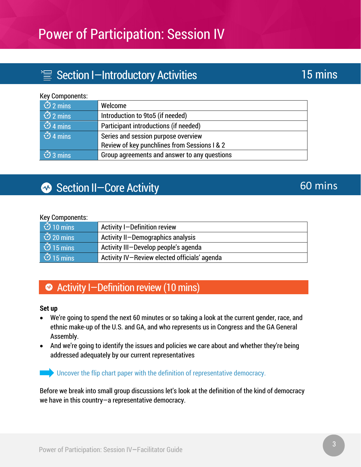## $\equiv$  Section I-Introductory Activities

#### Key Components:

| $\overline{\circ}$ 2 mins | Welcome                                      |
|---------------------------|----------------------------------------------|
| $\overline{\circ}$ 2 mins | Introduction to 9to5 (if needed)             |
| $\delta$ 4 mins           | Participant introductions (if needed)        |
| $\delta$ 4 mins           | Series and session purpose overview          |
|                           | Review of key punchlines from Sessions I & 2 |
| $\overline{\circ}$ 3 mins | Group agreements and answer to any questions |

## Section II-Core Activity

#### Key Components:

| ්ට 10 mins                    | Activity I-Definition review                 |
|-------------------------------|----------------------------------------------|
| $\overline{\circ}$ 20 mins    | Activity II-Demographics analysis            |
| $\overline{\text{O}}$ 15 mins | Activity III-Develop people's agenda         |
| ් වී 15 mins                  | Activity IV-Review elected officials' agenda |

### **◆ Activity I-Definition review (10 mins)**

#### **Set up**

- We're going to spend the next 60 minutes or so taking a look at the current gender, race, and ethnic make-up of the U.S. and GA, and who represents us in Congress and the GA General Assembly.
- And we're going to identify the issues and policies we care about and whether they're being addressed adequately by our current representatives

Uncover the flip chart paper with the definition of representative democracy.

Before we break into small group discussions let's look at the definition of the kind of democracy we have in this country—a representative democracy.

60 mins

## 15 mins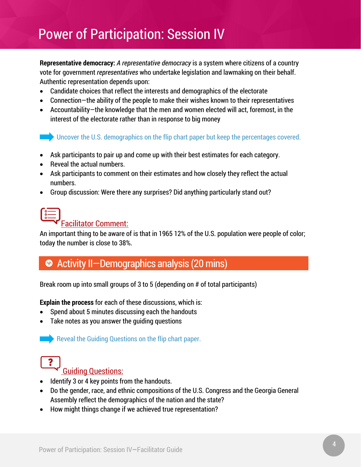**Representative democracy:** *A representative democracy* is a system where citizens of a country vote for government *representatives* who undertake legislation and lawmaking on their behalf. Authentic representation depends upon:

- Candidate choices that reflect the interests and demographics of the electorate
- Connection—the ability of the people to make their wishes known to their representatives
- Accountability—the knowledge that the men and women elected will act, foremost, in the interest of the electorate rather than in response to big money

Uncover the U.S. demographics on the flip chart paper but keep the percentages covered.

- Ask participants to pair up and come up with their best estimates for each category.
- Reveal the actual numbers.
- Ask participants to comment on their estimates and how closely they reflect the actual numbers.
- Group discussion: Were there any surprises? Did anything particularly stand out?

# Facilitator Comment:

An important thing to be aware of is that in 1965 12% of the U.S. population were people of color; today the number is close to 38%.

### ◆ Activity II-Demographics analysis (20 mins)

Break room up into small groups of 3 to 5 (depending on # of total participants)

**Explain the process** for each of these discussions, which is:

- Spend about 5 minutes discussing each the handouts
- Take notes as you answer the guiding questions

Reveal the Guiding Questions on the flip chart paper.



#### Guiding Questions:

- Identify 3 or 4 key points from the handouts.
- Do the gender, race, and ethnic compositions of the U.S. Congress and the Georgia General Assembly reflect the demographics of the nation and the state?
- How might things change if we achieved true representation?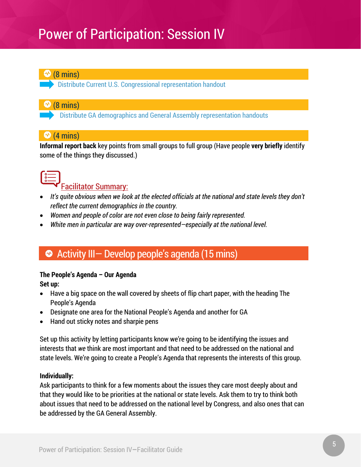

**Distribute Current U.S. Congressional representation handout** 

#### $\mathcal{P}$  (8 mins)

Distribute GA demographics and General Assembly representation handouts

#### $\bigcirc$  (4 mins)

**Informal report back** key points from small groups to full group (Have people **very briefly** identify some of the things they discussed.)



Facilitator Summary:

- *It's quite obvious when we look at the elected officials at the national and state levels they don't reflect the current demographics in the country.*
- *Women and people of color are not even close to being fairly represented.*
- *White men in particular are way over-represented—especially at the national level.*

### ◆ Activity III- Develop people's agenda (15 mins)

#### **The People's Agenda – Our Agenda**

**Set up:** 

- Have a big space on the wall covered by sheets of flip chart paper, with the heading The People's Agenda
- Designate one area for the National People's Agenda and another for GA
- Hand out sticky notes and sharpie pens

Set up this activity by letting participants know we're going to be identifying the issues and interests that *we* think are most important and that need to be addressed on the national and state levels. We're going to create a People's Agenda that represents the interests of this group.

#### **Individually:**

Ask participants to think for a few moments about the issues they care most deeply about and that they would like to be priorities at the national or state levels. Ask them to try to think both about issues that need to be addressed on the national level by Congress, and also ones that can be addressed by the GA General Assembly.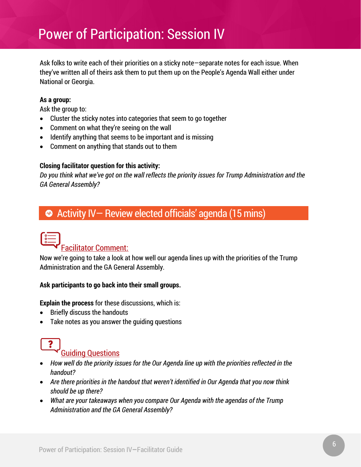Ask folks to write each of their priorities on a sticky note—separate notes for each issue. When they've written all of theirs ask them to put them up on the People's Agenda Wall either under National or Georgia.

#### **As a group:**

Ask the group to:

- Cluster the sticky notes into categories that seem to go together
- Comment on what they're seeing on the wall
- Identify anything that seems to be important and is missing
- Comment on anything that stands out to them

#### **Closing facilitator question for this activity:**

*Do you think what we've got on the wall reflects the priority issues for Trump Administration and the GA General Assembly?*

### Activity IV—Review elected officials' agenda (15 mins)

# Facilitator Comment:

Now we're going to take a look at how well our agenda lines up with the priorities of the Trump Administration and the GA General Assembly.

#### **Ask participants to go back into their small groups.**

**Explain the process** for these discussions, which is:

- Briefly discuss the handouts
- Take notes as you answer the guiding questions

# Guiding Questions

- *How well do the priority issues for the Our Agenda line up with the priorities reflected in the handout?*
- *Are there priorities in the handout that weren't identified in Our Agenda that you now think should be up there?*
- *What are your takeaways when you compare Our Agenda with the agendas of the Trump Administration and the GA General Assembly?*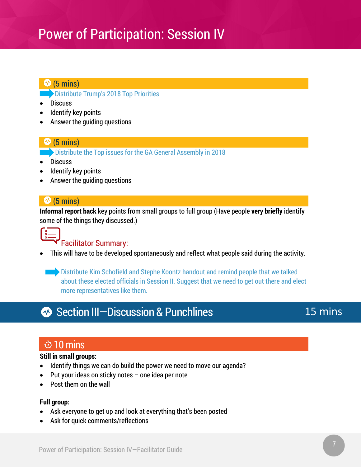#### $\bigcirc$  (5 mins)

*Distribute Trump's 2018 Top Priorities* 

- Discuss
- Identify key points
- Answer the guiding questions

#### $\bigcirc$  (5 mins)

Distribute the Top issues for the GA General Assembly in 2018

- Discuss
- Identify key points
- Answer the guiding questions

#### $\clubsuit$  (5 mins)

**Informal report back** key points from small groups to full group (Have people **very briefly** identify some of the things they discussed.)



#### Facilitator Summary:

• This will have to be developed spontaneously and reflect what people said during the activity.

**••** Distribute Kim Schofield and Stephe Koontz handout and remind people that we talked about these elected officials in Session II. Suggest that we need to get out there and elect more representatives like them.

## **<sup>◆</sup>** Section III–Discussion & Punchlines

### 15 mins

### 10 mins

#### **Still in small groups:**

- Identify things we can do build the power we need to move our agenda?
- Put your ideas on sticky notes  $-$  one idea per note
- Post them on the wall

#### **Full group:**

- Ask everyone to get up and look at everything that's been posted
- Ask for quick comments/reflections